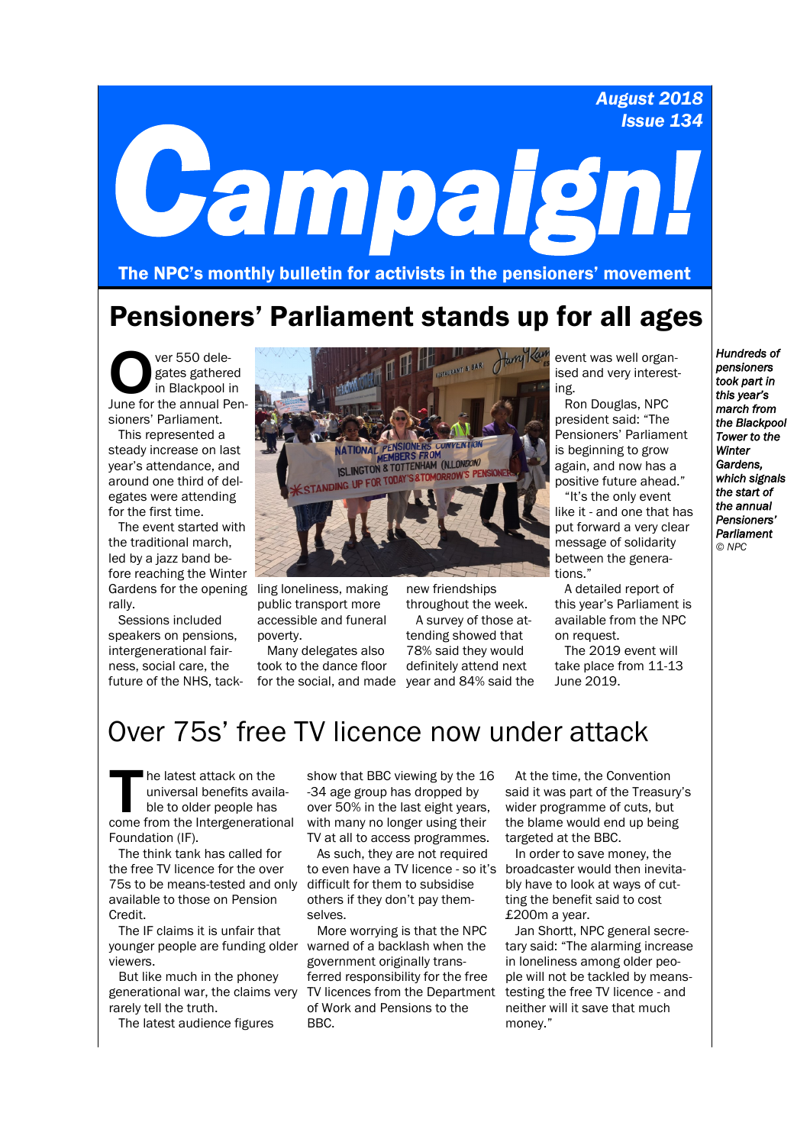*August 2018 Issue 134*

# *Campaign!*

The NPC's monthly bulletin for activists in the pensioners' movement

## Pensioners' Parliament stands up for all ages

Ver 550 delegates gathered<br>
in Blackpool in<br>
June for the annual Penver 550 delegates gathered in Blackpool in sioners' Parliament.

This represented a steady increase on last year's attendance, and around one third of delegates were attending for the first time.

The event started with the traditional march, led by a jazz band before reaching the Winter Gardens for the opening ling loneliness, making rally.

Sessions included speakers on pensions, intergenerational fairness, social care, the future of the NHS, tack-



public transport more accessible and funeral poverty.

Many delegates also took to the dance floor new friendships

for the social, and made year and 84% said the throughout the week. A survey of those attending showed that 78% said they would definitely attend next

event was well organised and very interesting.

Ron Douglas, NPC president said: "The Pensioners' Parliament is beginning to grow again, and now has a positive future ahead."

"It's the only event like it - and one that has put forward a very clear message of solidarity between the generations."

A detailed report of this year's Parliament is available from the NPC on request.

The 2019 event will take place from 11-13 June 2019.

## Over 75s' free TV licence now under attack

The latest attack on the<br>
universal benefits availa-<br>
ble to older people has<br>
come from the Intergenerational he latest attack on the universal benefits available to older people has Foundation (IF).

The think tank has called for the free TV licence for the over 75s to be means-tested and only difficult for them to subsidise available to those on Pension Credit.

The IF claims it is unfair that younger people are funding older warned of a backlash when the viewers.

But like much in the phoney generational war, the claims very rarely tell the truth.

The latest audience figures

show that BBC viewing by the 16 -34 age group has dropped by over 50% in the last eight years, with many no longer using their TV at all to access programmes.

As such, they are not required to even have a TV licence - so it's others if they don't pay themselves.

More worrying is that the NPC government originally transferred responsibility for the free TV licences from the Department of Work and Pensions to the BBC.

At the time, the Convention said it was part of the Treasury's wider programme of cuts, but the blame would end up being targeted at the BBC.

In order to save money, the broadcaster would then inevitably have to look at ways of cutting the benefit said to cost £200m a year.

Jan Shortt, NPC general secretary said: "The alarming increase in loneliness among older people will not be tackled by meanstesting the free TV licence - and neither will it save that much money."

*Hundreds of pensioners took part in this year's march from the Blackpool Tower to the Winter Gardens, which signals the start of the annual Pensioners' Parliament © NPC*